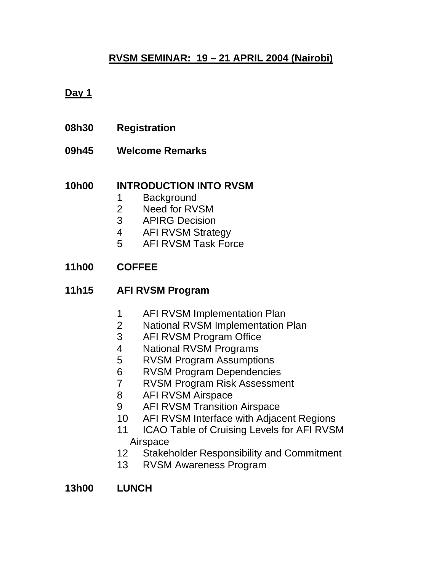## **RVSM SEMINAR: 19 – 21 APRIL 2004 (Nairobi)**

### **Day 1**

- **08h30 Registration**
- **09h45 Welcome Remarks**

#### **10h00 INTRODUCTION INTO RVSM**

- 1 Background
- 2 Need for RVSM
- 3 APIRG Decision
- 4 AFI RVSM Strategy
- 5 AFI RVSM Task Force

### **11h00 COFFEE**

- **11h15 AFI RVSM Program** 
	- 1 AFI RVSM Implementation Plan
	- 2 National RVSM Implementation Plan
	- 3 AFI RVSM Program Office
	- 4 National RVSM Programs
	- 5 RVSM Program Assumptions
	- 6 RVSM Program Dependencies
	- 7 RVSM Program Risk Assessment
	- 8 AFI RVSM Airspace
	- 9 AFI RVSM Transition Airspace
	- 10 AFI RVSM Interface with Adjacent Regions
	- 11 ICAO Table of Cruising Levels for AFI RVSM Airspace
	- 12 Stakeholder Responsibility and Commitment
	- 13 RVSM Awareness Program

**13h00 LUNCH**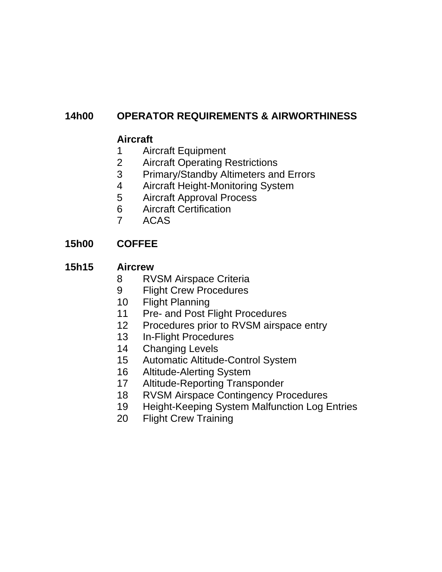# **14h00 OPERATOR REQUIREMENTS & AIRWORTHINESS**

## **Aircraft**

- 1 Aircraft Equipment
- 2 Aircraft Operating Restrictions
- 3 Primary/Standby Altimeters and Errors
- 4 Aircraft Height-Monitoring System
- 5 Aircraft Approval Process
- 6 Aircraft Certification
- 7 ACAS

# **15h00 COFFEE**

### **15h15 Aircrew**

- 8 RVSM Airspace Criteria
- 9 Flight Crew Procedures
- 10 Flight Planning
- 11 Pre- and Post Flight Procedures
- 12 Procedures prior to RVSM airspace entry
- 13 In-Flight Procedures
- 14 Changing Levels
- 15 Automatic Altitude-Control System
- 16 Altitude-Alerting System
- 17 Altitude-Reporting Transponder
- 18 RVSM Airspace Contingency Procedures
- 19 Height-Keeping System Malfunction Log Entries
- 20 Flight Crew Training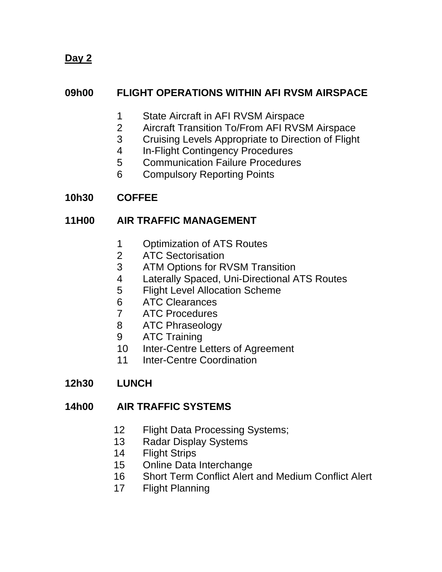**Day 2**

## **09h00 FLIGHT OPERATIONS WITHIN AFI RVSM AIRSPACE**

- 1 State Aircraft in AFI RVSM Airspace
- 2 Aircraft Transition To/From AFI RVSM Airspace
- 3 Cruising Levels Appropriate to Direction of Flight
- 4 In-Flight Contingency Procedures
- 5 Communication Failure Procedures
- 6 Compulsory Reporting Points

## **10h30 COFFEE**

### **11H00 AIR TRAFFIC MANAGEMENT**

- 1 Optimization of ATS Routes
- 2 ATC Sectorisation
- 3 ATM Options for RVSM Transition
- 4 Laterally Spaced, Uni-Directional ATS Routes
- 5 Flight Level Allocation Scheme
- 6 ATC Clearances
- 7 ATC Procedures
- 8 ATC Phraseology
- 9 ATC Training
- 10 Inter-Centre Letters of Agreement
- 11 Inter-Centre Coordination
- **12h30 LUNCH**

### **14h00 AIR TRAFFIC SYSTEMS**

- 12 Flight Data Processing Systems;
- 13 Radar Display Systems
- 14 Flight Strips
- 15 Online Data Interchange
- 16 Short Term Conflict Alert and Medium Conflict Alert
- 17 Flight Planning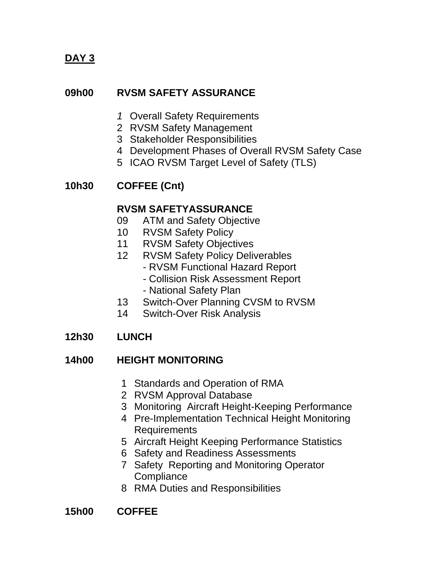**DAY 3**

### **09h00 RVSM SAFETY ASSURANCE**

- *1* Overall Safety Requirements
- 2 RVSM Safety Management
- 3 Stakeholder Responsibilities
- 4 Development Phases of Overall RVSM Safety Case
- 5 ICAO RVSM Target Level of Safety (TLS)

### **10h30 COFFEE (Cnt)**

### **RVSM SAFETYASSURANCE**

- 09 ATM and Safety Objective
- 10 RVSM Safety Policy
- 11 RVSM Safety Objectives
- 12 RVSM Safety Policy Deliverables
	- RVSM Functional Hazard Report
	- Collision Risk Assessment Report
	- National Safety Plan
- 13 Switch-Over Planning CVSM to RVSM
- 14 Switch-Over Risk Analysis

## **12h30 LUNCH**

### **14h00 HEIGHT MONITORING**

- 1 Standards and Operation of RMA
- 2 RVSM Approval Database
- 3 Monitoring Aircraft Height-Keeping Performance
- 4 Pre-Implementation Technical Height Monitoring Requirements
- 5 Aircraft Height Keeping Performance Statistics
- 6 Safety and Readiness Assessments
- 7 Safety Reporting and Monitoring Operator **Compliance**
- 8 RMA Duties and Responsibilities

### **15h00 COFFEE**